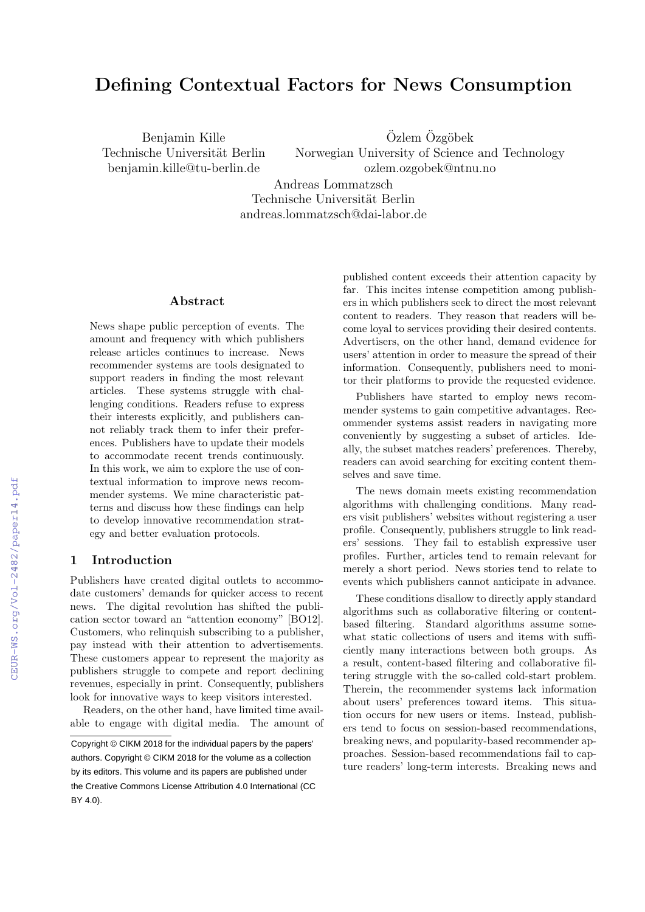# Defining Contextual Factors for News Consumption

Benjamin Kille Technische Universität Berlin benjamin.kille@tu-berlin.de

Özlem Özgöbek Norwegian University of Science and Technology ozlem.ozgobek@ntnu.no

Andreas Lommatzsch Technische Universität Berlin andreas.lommatzsch@dai-labor.de

### Abstract

News shape public perception of events. The amount and frequency with which publishers release articles continues to increase. News recommender systems are tools designated to support readers in finding the most relevant articles. These systems struggle with challenging conditions. Readers refuse to express their interests explicitly, and publishers cannot reliably track them to infer their preferences. Publishers have to update their models to accommodate recent trends continuously. In this work, we aim to explore the use of contextual information to improve news recommender systems. We mine characteristic patterns and discuss how these findings can help to develop innovative recommendation strategy and better evaluation protocols.

### 1 Introduction

Publishers have created digital outlets to accommodate customers' demands for quicker access to recent news. The digital revolution has shifted the publication sector toward an "attention economy" [BO12]. Customers, who relinquish subscribing to a publisher, pay instead with their attention to advertisements. These customers appear to represent the majority as publishers struggle to compete and report declining revenues, especially in print. Consequently, publishers look for innovative ways to keep visitors interested.

Readers, on the other hand, have limited time available to engage with digital media. The amount of published content exceeds their attention capacity by far. This incites intense competition among publishers in which publishers seek to direct the most relevant content to readers. They reason that readers will become loyal to services providing their desired contents. Advertisers, on the other hand, demand evidence for users' attention in order to measure the spread of their information. Consequently, publishers need to monitor their platforms to provide the requested evidence.

Publishers have started to employ news recommender systems to gain competitive advantages. Recommender systems assist readers in navigating more conveniently by suggesting a subset of articles. Ideally, the subset matches readers' preferences. Thereby, readers can avoid searching for exciting content themselves and save time.

The news domain meets existing recommendation algorithms with challenging conditions. Many readers visit publishers' websites without registering a user profile. Consequently, publishers struggle to link readers' sessions. They fail to establish expressive user profiles. Further, articles tend to remain relevant for merely a short period. News stories tend to relate to events which publishers cannot anticipate in advance.

These conditions disallow to directly apply standard algorithms such as collaborative filtering or contentbased filtering. Standard algorithms assume somewhat static collections of users and items with sufficiently many interactions between both groups. As a result, content-based filtering and collaborative filtering struggle with the so-called cold-start problem. Therein, the recommender systems lack information about users' preferences toward items. This situation occurs for new users or items. Instead, publishers tend to focus on session-based recommendations, breaking news, and popularity-based recommender approaches. Session-based recommendations fail to capture readers' long-term interests. Breaking news and

Copyright © CIKM 2018 for the individual papers by the papers' authors. Copyright © CIKM 2018 for the volume as a collection by its editors. This volume and its papers are published under the Creative Commons License Attribution 4.0 International (CC BY 4.0).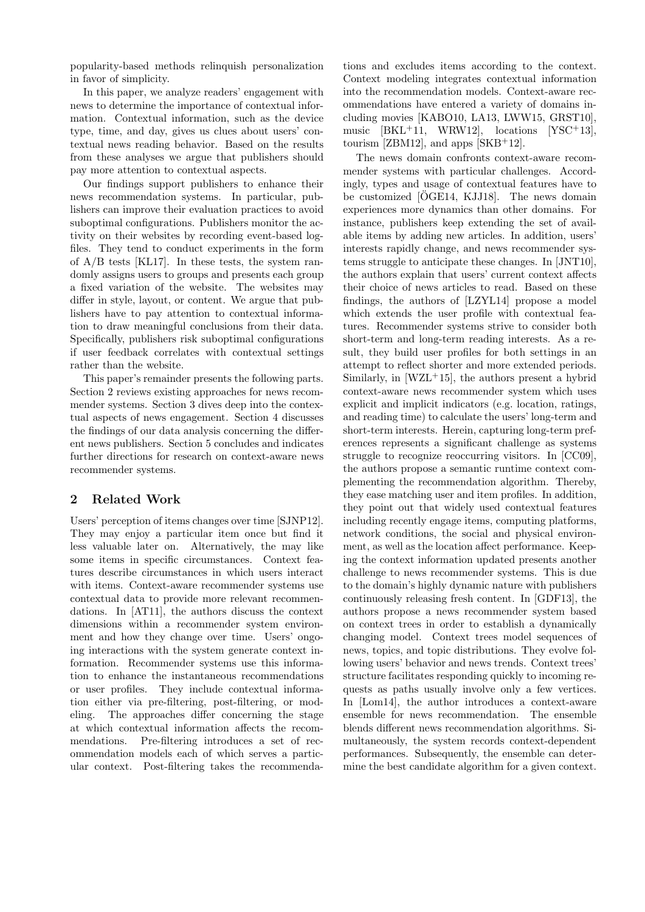popularity-based methods relinquish personalization in favor of simplicity.

In this paper, we analyze readers' engagement with news to determine the importance of contextual information. Contextual information, such as the device type, time, and day, gives us clues about users' contextual news reading behavior. Based on the results from these analyses we argue that publishers should pay more attention to contextual aspects.

Our findings support publishers to enhance their news recommendation systems. In particular, publishers can improve their evaluation practices to avoid suboptimal configurations. Publishers monitor the activity on their websites by recording event-based logfiles. They tend to conduct experiments in the form of  $A/B$  tests [KL17]. In these tests, the system randomly assigns users to groups and presents each group a fixed variation of the website. The websites may differ in style, layout, or content. We argue that publishers have to pay attention to contextual information to draw meaningful conclusions from their data. Specifically, publishers risk suboptimal configurations if user feedback correlates with contextual settings rather than the website.

This paper's remainder presents the following parts. Section 2 reviews existing approaches for news recommender systems. Section 3 dives deep into the contextual aspects of news engagement. Section 4 discusses the findings of our data analysis concerning the different news publishers. Section 5 concludes and indicates further directions for research on context-aware news recommender systems.

# 2 Related Work

Users' perception of items changes over time [SJNP12]. They may enjoy a particular item once but find it less valuable later on. Alternatively, the may like some items in specific circumstances. Context features describe circumstances in which users interact with items. Context-aware recommender systems use contextual data to provide more relevant recommendations. In [AT11], the authors discuss the context dimensions within a recommender system environment and how they change over time. Users' ongoing interactions with the system generate context information. Recommender systems use this information to enhance the instantaneous recommendations or user profiles. They include contextual information either via pre-filtering, post-filtering, or modeling. The approaches differ concerning the stage at which contextual information affects the recommendations. Pre-filtering introduces a set of recommendation models each of which serves a particular context. Post-filtering takes the recommenda-

tions and excludes items according to the context. Context modeling integrates contextual information into the recommendation models. Context-aware recommendations have entered a variety of domains including movies [KABO10, LA13, LWW15, GRST10], music  $[BKL+11, WRW12],$  locations  $[YSC+13],$ tourism [ZBM12], and apps [SKB+12].

The news domain confronts context-aware recommender systems with particular challenges. Accordingly, types and usage of contextual features have to be customized  $[OGE14, KJJ18]$ . The news domain experiences more dynamics than other domains. For instance, publishers keep extending the set of available items by adding new articles. In addition, users' interests rapidly change, and news recommender systems struggle to anticipate these changes. In [JNT10], the authors explain that users' current context affects their choice of news articles to read. Based on these findings, the authors of [LZYL14] propose a model which extends the user profile with contextual features. Recommender systems strive to consider both short-term and long-term reading interests. As a result, they build user profiles for both settings in an attempt to reflect shorter and more extended periods. Similarly, in  $[WZL+15]$ , the authors present a hybrid context-aware news recommender system which uses explicit and implicit indicators (e.g. location, ratings, and reading time) to calculate the users' long-term and short-term interests. Herein, capturing long-term preferences represents a significant challenge as systems struggle to recognize reoccurring visitors. In [CC09], the authors propose a semantic runtime context complementing the recommendation algorithm. Thereby, they ease matching user and item profiles. In addition, they point out that widely used contextual features including recently engage items, computing platforms, network conditions, the social and physical environment, as well as the location affect performance. Keeping the context information updated presents another challenge to news recommender systems. This is due to the domain's highly dynamic nature with publishers continuously releasing fresh content. In [GDF13], the authors propose a news recommender system based on context trees in order to establish a dynamically changing model. Context trees model sequences of news, topics, and topic distributions. They evolve following users' behavior and news trends. Context trees' structure facilitates responding quickly to incoming requests as paths usually involve only a few vertices. In [Lom14], the author introduces a context-aware ensemble for news recommendation. The ensemble blends different news recommendation algorithms. Simultaneously, the system records context-dependent performances. Subsequently, the ensemble can determine the best candidate algorithm for a given context.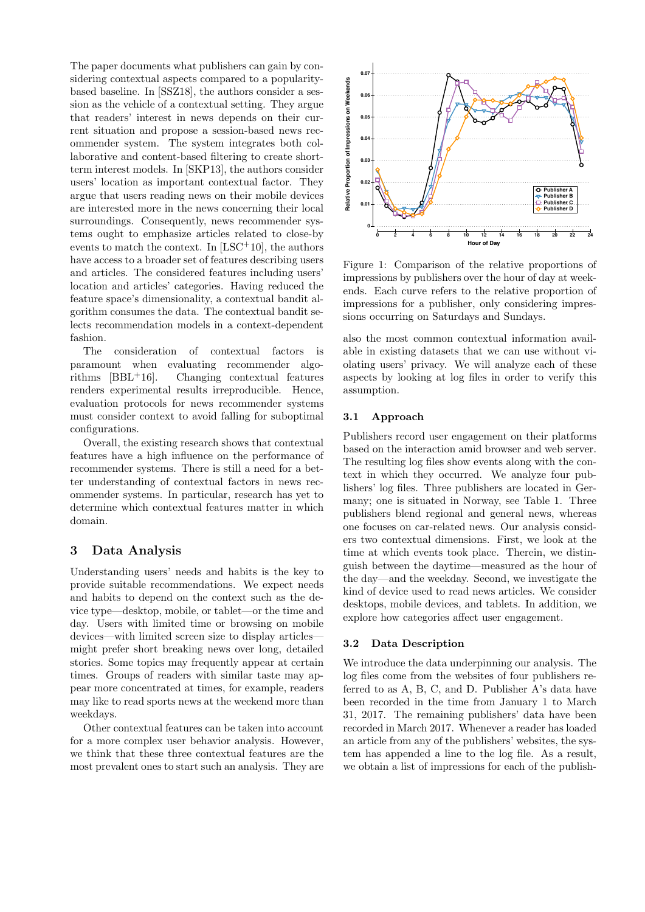The paper documents what publishers can gain by considering contextual aspects compared to a popularitybased baseline. In [SSZ18], the authors consider a session as the vehicle of a contextual setting. They argue that readers' interest in news depends on their current situation and propose a session-based news recommender system. The system integrates both collaborative and content-based filtering to create shortterm interest models. In [SKP13], the authors consider users' location as important contextual factor. They argue that users reading news on their mobile devices are interested more in the news concerning their local surroundings. Consequently, news recommender systems ought to emphasize articles related to close-by events to match the context. In [LSC+10], the authors have access to a broader set of features describing users and articles. The considered features including users' location and articles' categories. Having reduced the feature space's dimensionality, a contextual bandit algorithm consumes the data. The contextual bandit selects recommendation models in a context-dependent fashion.

The consideration of contextual factors is paramount when evaluating recommender algorithms  $[BBL+16]$ . Changing contextual features renders experimental results irreproducible. Hence, evaluation protocols for news recommender systems must consider context to avoid falling for suboptimal configurations.

Overall, the existing research shows that contextual features have a high influence on the performance of recommender systems. There is still a need for a better understanding of contextual factors in news recommender systems. In particular, research has yet to determine which contextual features matter in which domain.

### 3 Data Analysis

Understanding users' needs and habits is the key to provide suitable recommendations. We expect needs and habits to depend on the context such as the device type—desktop, mobile, or tablet—or the time and day. Users with limited time or browsing on mobile devices—with limited screen size to display articles might prefer short breaking news over long, detailed stories. Some topics may frequently appear at certain times. Groups of readers with similar taste may appear more concentrated at times, for example, readers may like to read sports news at the weekend more than weekdays.

Other contextual features can be taken into account for a more complex user behavior analysis. However, we think that these three contextual features are the most prevalent ones to start such an analysis. They are



Figure 1: Comparison of the relative proportions of impressions by publishers over the hour of day at weekends. Each curve refers to the relative proportion of impressions for a publisher, only considering impressions occurring on Saturdays and Sundays.

also the most common contextual information available in existing datasets that we can use without violating users' privacy. We will analyze each of these aspects by looking at log files in order to verify this assumption.

#### 3.1 Approach

Publishers record user engagement on their platforms based on the interaction amid browser and web server. The resulting log files show events along with the context in which they occurred. We analyze four publishers' log files. Three publishers are located in Germany; one is situated in Norway, see Table 1. Three publishers blend regional and general news, whereas one focuses on car-related news. Our analysis considers two contextual dimensions. First, we look at the time at which events took place. Therein, we distinguish between the daytime—measured as the hour of the day—and the weekday. Second, we investigate the kind of device used to read news articles. We consider desktops, mobile devices, and tablets. In addition, we explore how categories affect user engagement.

#### 3.2 Data Description

We introduce the data underpinning our analysis. The log files come from the websites of four publishers referred to as A, B, C, and D. Publisher A's data have been recorded in the time from January 1 to March 31, 2017. The remaining publishers' data have been recorded in March 2017. Whenever a reader has loaded an article from any of the publishers' websites, the system has appended a line to the log file. As a result, we obtain a list of impressions for each of the publish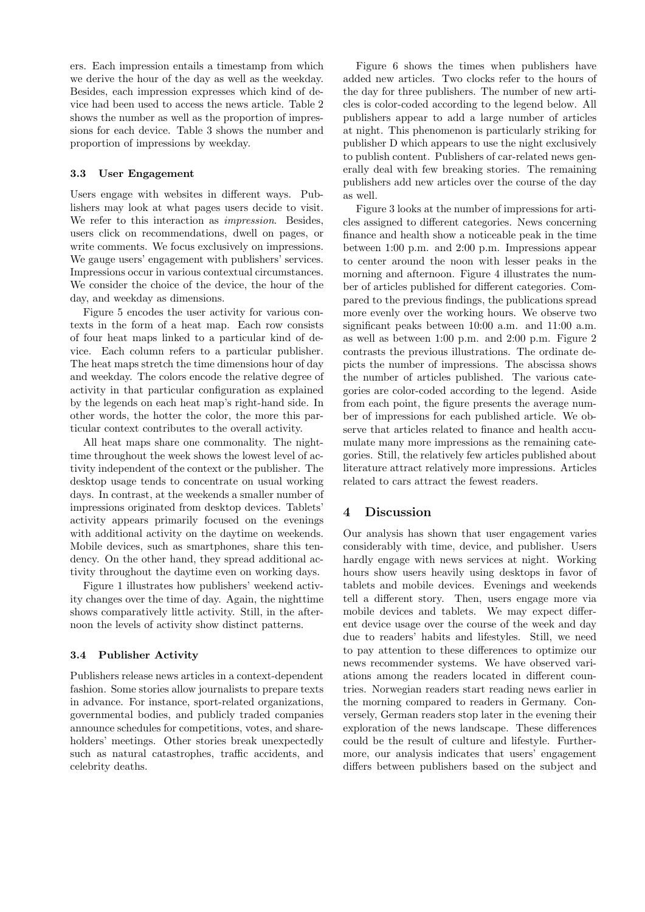ers. Each impression entails a timestamp from which we derive the hour of the day as well as the weekday. Besides, each impression expresses which kind of device had been used to access the news article. Table 2 shows the number as well as the proportion of impressions for each device. Table 3 shows the number and proportion of impressions by weekday.

#### 3.3 User Engagement

Users engage with websites in different ways. Publishers may look at what pages users decide to visit. We refer to this interaction as *impression*. Besides, users click on recommendations, dwell on pages, or write comments. We focus exclusively on impressions. We gauge users' engagement with publishers' services. Impressions occur in various contextual circumstances. We consider the choice of the device, the hour of the day, and weekday as dimensions.

Figure 5 encodes the user activity for various contexts in the form of a heat map. Each row consists of four heat maps linked to a particular kind of device. Each column refers to a particular publisher. The heat maps stretch the time dimensions hour of day and weekday. The colors encode the relative degree of activity in that particular configuration as explained by the legends on each heat map's right-hand side. In other words, the hotter the color, the more this particular context contributes to the overall activity.

All heat maps share one commonality. The nighttime throughout the week shows the lowest level of activity independent of the context or the publisher. The desktop usage tends to concentrate on usual working days. In contrast, at the weekends a smaller number of impressions originated from desktop devices. Tablets' activity appears primarily focused on the evenings with additional activity on the daytime on weekends. Mobile devices, such as smartphones, share this tendency. On the other hand, they spread additional activity throughout the daytime even on working days.

Figure 1 illustrates how publishers' weekend activity changes over the time of day. Again, the nighttime shows comparatively little activity. Still, in the afternoon the levels of activity show distinct patterns.

### 3.4 Publisher Activity

Publishers release news articles in a context-dependent fashion. Some stories allow journalists to prepare texts in advance. For instance, sport-related organizations, governmental bodies, and publicly traded companies announce schedules for competitions, votes, and shareholders' meetings. Other stories break unexpectedly such as natural catastrophes, traffic accidents, and celebrity deaths.

Figure 6 shows the times when publishers have added new articles. Two clocks refer to the hours of the day for three publishers. The number of new articles is color-coded according to the legend below. All publishers appear to add a large number of articles at night. This phenomenon is particularly striking for publisher D which appears to use the night exclusively to publish content. Publishers of car-related news generally deal with few breaking stories. The remaining publishers add new articles over the course of the day as well.

Figure 3 looks at the number of impressions for articles assigned to different categories. News concerning finance and health show a noticeable peak in the time between 1:00 p.m. and 2:00 p.m. Impressions appear to center around the noon with lesser peaks in the morning and afternoon. Figure 4 illustrates the number of articles published for different categories. Compared to the previous findings, the publications spread more evenly over the working hours. We observe two significant peaks between 10:00 a.m. and 11:00 a.m. as well as between 1:00 p.m. and 2:00 p.m. Figure 2 contrasts the previous illustrations. The ordinate depicts the number of impressions. The abscissa shows the number of articles published. The various categories are color-coded according to the legend. Aside from each point, the figure presents the average number of impressions for each published article. We observe that articles related to finance and health accumulate many more impressions as the remaining categories. Still, the relatively few articles published about literature attract relatively more impressions. Articles related to cars attract the fewest readers.

# 4 Discussion

Our analysis has shown that user engagement varies considerably with time, device, and publisher. Users hardly engage with news services at night. Working hours show users heavily using desktops in favor of tablets and mobile devices. Evenings and weekends tell a different story. Then, users engage more via mobile devices and tablets. We may expect different device usage over the course of the week and day due to readers' habits and lifestyles. Still, we need to pay attention to these differences to optimize our news recommender systems. We have observed variations among the readers located in different countries. Norwegian readers start reading news earlier in the morning compared to readers in Germany. Conversely, German readers stop later in the evening their exploration of the news landscape. These differences could be the result of culture and lifestyle. Furthermore, our analysis indicates that users' engagement differs between publishers based on the subject and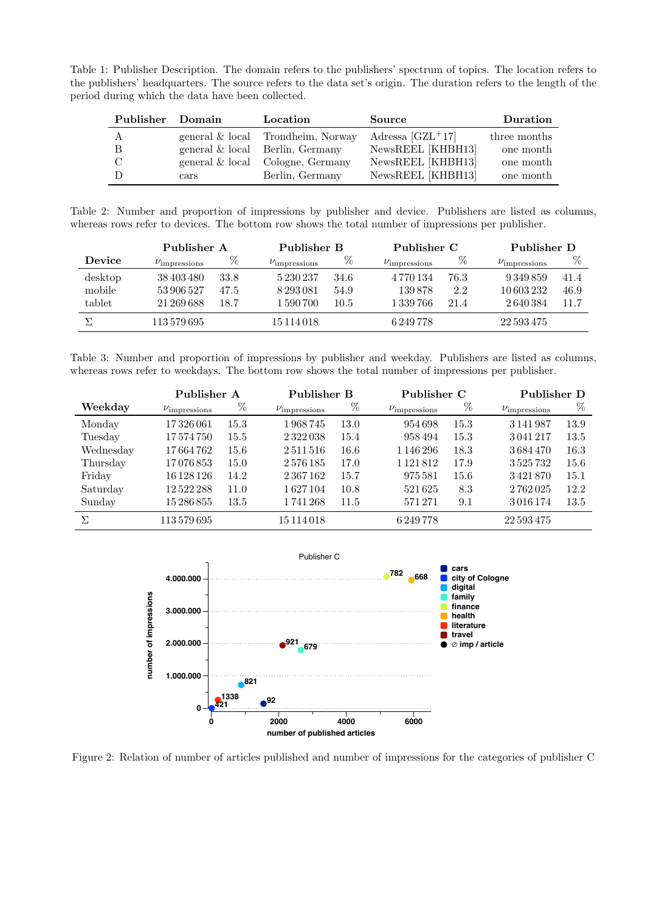Table 1: Publisher Description. The domain refers to the publishers' spectrum of topics. The location refers to the publishers' headquarters. The source refers to the data set's origin. The duration refers to the length of the period during which the data have been collected.

| Publisher Domain |                       | Location                           | Source             | Duration     |
|------------------|-----------------------|------------------------------------|--------------------|--------------|
| A                |                       | general & local Trondheim, Norway  | Adressa $[GZL+17]$ | three months |
| - B              |                       | general $\&$ local Berlin, Germany | NewsREEL [KHBH13]  | one month    |
| - C              |                       | general & local Cologne, Germany   | NewsREEL [KHBH13]  | one month    |
|                  | $\operatorname{cars}$ | Berlin, Germany                    | NewsREEL [KHBH13]  | one month    |

Table 2: Number and proportion of impressions by publisher and device. Publishers are listed as columns, whereas rows refer to devices. The bottom row shows the total number of impressions per publisher.

|               | Publisher A                |      |                            | Publisher B |                            | Publisher C |                            | Publisher D |  |
|---------------|----------------------------|------|----------------------------|-------------|----------------------------|-------------|----------------------------|-------------|--|
| <b>Device</b> | $\nu_{\text{impressions}}$ | %    | $\nu_{\text{impressions}}$ | %           | $\nu_{\text{impressions}}$ | %           | $\nu_{\text{impressions}}$ | %           |  |
| desktop       | 38 403 480                 | 33.8 | 5230237                    | 34.6        | 4 7 7 0 1 3 4              | 76.3        | 9 349 859                  | 41.4        |  |
| mobile        | 53906527                   | 47.5 | 8 2 9 3 0 8 1              | 54.9        | 139878                     | 2.2         | 10 603 232                 | 46.9        |  |
| tablet        | 21 269 688                 | 18.7 | 1 590 700                  | 10.5        | 1339766                    | 21.4        | 2640384                    | 11.7        |  |
|               | 113 579 695                |      | 15 114 018                 |             | 6 249 778                  |             | 22 593 475                 |             |  |

Table 3: Number and proportion of impressions by publisher and weekday. Publishers are listed as columns, whereas rows refer to weekdays. The bottom row shows the total number of impressions per publisher.

|           | Publisher A                |      |                            | Publisher B |                            | Publisher C |                            | Publisher D |  |
|-----------|----------------------------|------|----------------------------|-------------|----------------------------|-------------|----------------------------|-------------|--|
| Weekday   | $\nu_{\text{impressions}}$ | %    | $\nu_{\text{impressions}}$ | $\%$        | $\nu_{\text{impressions}}$ | $\%$        | $\nu_{\text{impressions}}$ | %           |  |
| Monday    | 17326061                   | 15.3 | 1968745                    | 13.0        | 954698                     | 15.3        | 3 141 987                  | 13.9        |  |
| Tuesday   | 17574750                   | 15.5 | 2322038                    | 15.4        | 958494                     | 15.3        | 3041217                    | 13.5        |  |
| Wednesday | 17664762                   | 15.6 | 2511516                    | $16.6\,$    | 1 1 4 6 2 9 6              | 18.3        | 3684470                    | 16.3        |  |
| Thursday  | 17076853                   | 15.0 | 2576185                    | 17.0        | 1 1 2 1 8 1 2              | 17.9        | 3525732                    | 15.6        |  |
| Friday    | 16 128 126                 | 14.2 | 2 367 162                  | 15.7        | 975581                     | 15.6        | 3421870                    | 15.1        |  |
| Saturday  | 12522288                   | 11.0 | 1627104                    | 10.8        | 521625                     | 8.3         | 2762025                    | 12.2        |  |
| Sunday    | 15286855                   | 13.5 | 1741268                    | 11.5        | 571271                     | 9.1         | 3016174                    | 13.5        |  |
| Σ         | 113 579 695                |      | 15 114 018                 |             | 6 249 778                  |             | 22 593 475                 |             |  |



Figure 2: Relation of number of articles published and number of impressions for the categories of publisher C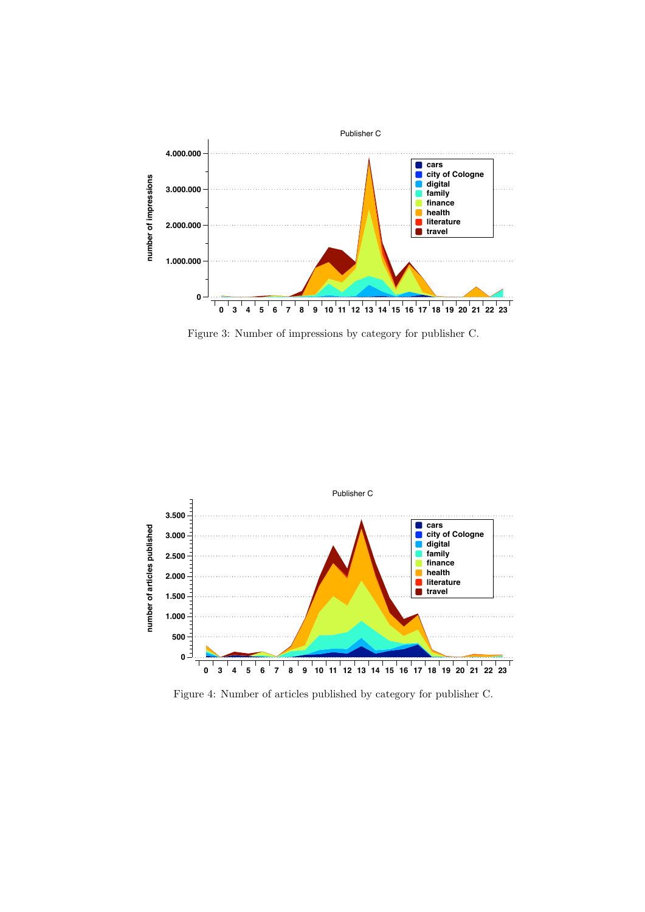

Figure 3: Number of impressions by category for publisher C.



Figure 4: Number of articles published by category for publisher C.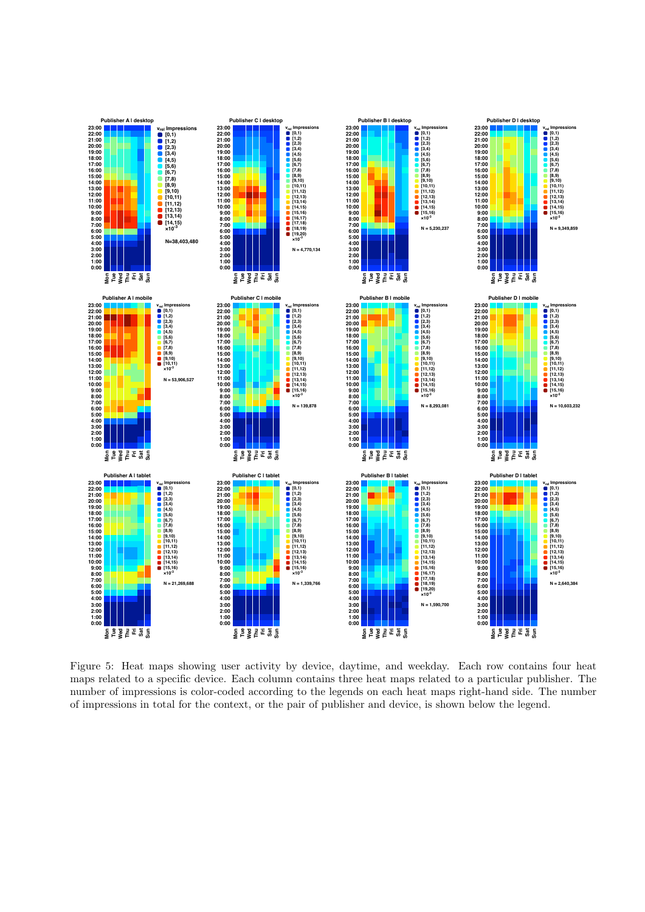

Figure 5: Heat maps showing user activity by device, daytime, and weekday. Each row contains four heat maps related to a specific device. Each column contains three heat maps related to a particular publisher. The number of impressions is color-coded according to the legends on each heat maps right-hand side. The number of impressions in total for the context, or the pair of publisher and device, is shown below the legend.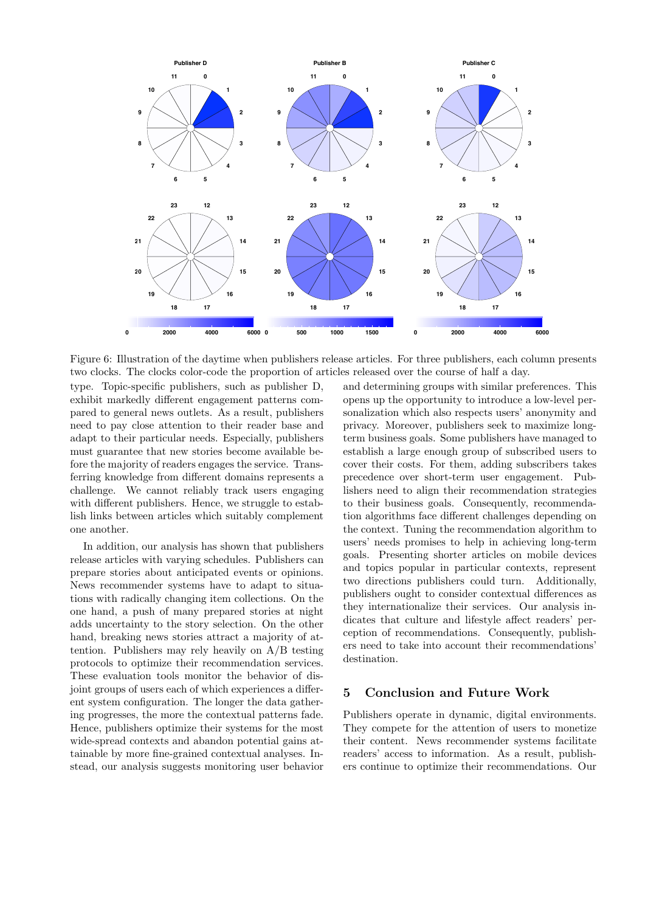

Figure 6: Illustration of the daytime when publishers release articles. For three publishers, each column presents two clocks. The clocks color-code the proportion of articles released over the course of half a day.

type. Topic-specific publishers, such as publisher D, exhibit markedly different engagement patterns compared to general news outlets. As a result, publishers need to pay close attention to their reader base and adapt to their particular needs. Especially, publishers must guarantee that new stories become available before the majority of readers engages the service. Transferring knowledge from different domains represents a challenge. We cannot reliably track users engaging with different publishers. Hence, we struggle to establish links between articles which suitably complement one another.

In addition, our analysis has shown that publishers release articles with varying schedules. Publishers can prepare stories about anticipated events or opinions. News recommender systems have to adapt to situations with radically changing item collections. On the one hand, a push of many prepared stories at night adds uncertainty to the story selection. On the other hand, breaking news stories attract a majority of attention. Publishers may rely heavily on A/B testing protocols to optimize their recommendation services. These evaluation tools monitor the behavior of disjoint groups of users each of which experiences a different system configuration. The longer the data gathering progresses, the more the contextual patterns fade. Hence, publishers optimize their systems for the most wide-spread contexts and abandon potential gains attainable by more fine-grained contextual analyses. Instead, our analysis suggests monitoring user behavior

and determining groups with similar preferences. This opens up the opportunity to introduce a low-level personalization which also respects users' anonymity and privacy. Moreover, publishers seek to maximize longterm business goals. Some publishers have managed to establish a large enough group of subscribed users to cover their costs. For them, adding subscribers takes precedence over short-term user engagement. Publishers need to align their recommendation strategies to their business goals. Consequently, recommendation algorithms face different challenges depending on the context. Tuning the recommendation algorithm to users' needs promises to help in achieving long-term goals. Presenting shorter articles on mobile devices and topics popular in particular contexts, represent two directions publishers could turn. Additionally, publishers ought to consider contextual differences as they internationalize their services. Our analysis indicates that culture and lifestyle affect readers' perception of recommendations. Consequently, publishers need to take into account their recommendations' destination.

# 5 Conclusion and Future Work

Publishers operate in dynamic, digital environments. They compete for the attention of users to monetize their content. News recommender systems facilitate readers' access to information. As a result, publishers continue to optimize their recommendations. Our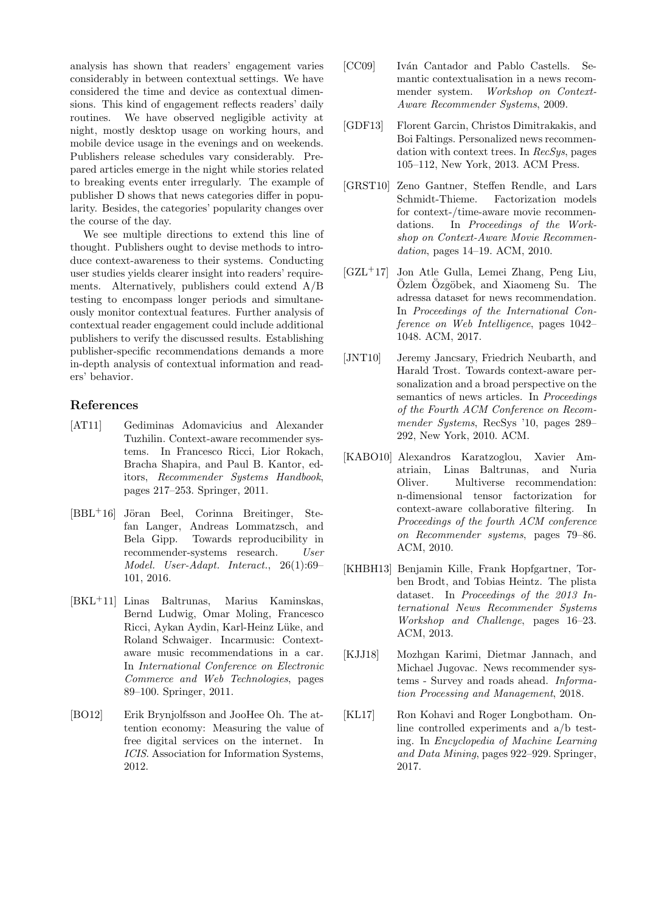analysis has shown that readers' engagement varies considerably in between contextual settings. We have considered the time and device as contextual dimensions. This kind of engagement reflects readers' daily routines. We have observed negligible activity at night, mostly desktop usage on working hours, and mobile device usage in the evenings and on weekends. Publishers release schedules vary considerably. Prepared articles emerge in the night while stories related to breaking events enter irregularly. The example of publisher D shows that news categories differ in popularity. Besides, the categories' popularity changes over the course of the day.

We see multiple directions to extend this line of thought. Publishers ought to devise methods to introduce context-awareness to their systems. Conducting user studies yields clearer insight into readers' requirements. Alternatively, publishers could extend A/B testing to encompass longer periods and simultaneously monitor contextual features. Further analysis of contextual reader engagement could include additional publishers to verify the discussed results. Establishing publisher-specific recommendations demands a more in-depth analysis of contextual information and readers' behavior.

# References

- [AT11] Gediminas Adomavicius and Alexander Tuzhilin. Context-aware recommender systems. In Francesco Ricci, Lior Rokach, Bracha Shapira, and Paul B. Kantor, editors, Recommender Systems Handbook, pages 217–253. Springer, 2011.
- $[BBL<sup>+</sup>16]$  Jöran Beel, Corinna Breitinger, Stefan Langer, Andreas Lommatzsch, and Bela Gipp. Towards reproducibility in recommender-systems research. User Model. User-Adapt. Interact., 26(1):69– 101, 2016.
- [BKL+11] Linas Baltrunas, Marius Kaminskas, Bernd Ludwig, Omar Moling, Francesco Ricci, Aykan Aydin, Karl-Heinz Lüke, and Roland Schwaiger. Incarmusic: Contextaware music recommendations in a car. In International Conference on Electronic Commerce and Web Technologies, pages 89–100. Springer, 2011.
- [BO12] Erik Brynjolfsson and JooHee Oh. The attention economy: Measuring the value of free digital services on the internet. In ICIS. Association for Information Systems, 2012.
- [CC09] Iván Cantador and Pablo Castells. Semantic contextualisation in a news recommender system. Workshop on Context-Aware Recommender Systems, 2009.
- [GDF13] Florent Garcin, Christos Dimitrakakis, and Boi Faltings. Personalized news recommendation with context trees. In  $RecSus$ , pages 105–112, New York, 2013. ACM Press.
- [GRST10] Zeno Gantner, Steffen Rendle, and Lars Schmidt-Thieme. Factorization models for context-/time-aware movie recommendations. In Proceedings of the Workshop on Context-Aware Movie Recommendation, pages 14–19. ACM, 2010.
- $[GZL+17]$  Jon Atle Gulla, Lemei Zhang, Peng Liu,  $\ddot{O}$ zlem  $\ddot{O}$ zgöbek, and Xiaomeng Su. The adressa dataset for news recommendation. In Proceedings of the International Conference on Web Intelligence, pages 1042– 1048. ACM, 2017.
- [JNT10] Jeremy Jancsary, Friedrich Neubarth, and Harald Trost. Towards context-aware personalization and a broad perspective on the semantics of news articles. In Proceedings of the Fourth ACM Conference on Recommender Systems, RecSys '10, pages 289– 292, New York, 2010. ACM.
- [KABO10] Alexandros Karatzoglou, Xavier Amatriain, Linas Baltrunas, and Nuria Oliver. Multiverse recommendation: n-dimensional tensor factorization for context-aware collaborative filtering. In Proceedings of the fourth ACM conference on Recommender systems, pages 79–86. ACM, 2010.
- [KHBH13] Benjamin Kille, Frank Hopfgartner, Torben Brodt, and Tobias Heintz. The plista dataset. In Proceedings of the 2013 International News Recommender Systems Workshop and Challenge, pages 16–23. ACM, 2013.
- [KJJ18] Mozhgan Karimi, Dietmar Jannach, and Michael Jugovac. News recommender systems - Survey and roads ahead. Information Processing and Management, 2018.
- [KL17] Ron Kohavi and Roger Longbotham. Online controlled experiments and a/b testing. In Encyclopedia of Machine Learning and Data Mining, pages 922–929. Springer, 2017.